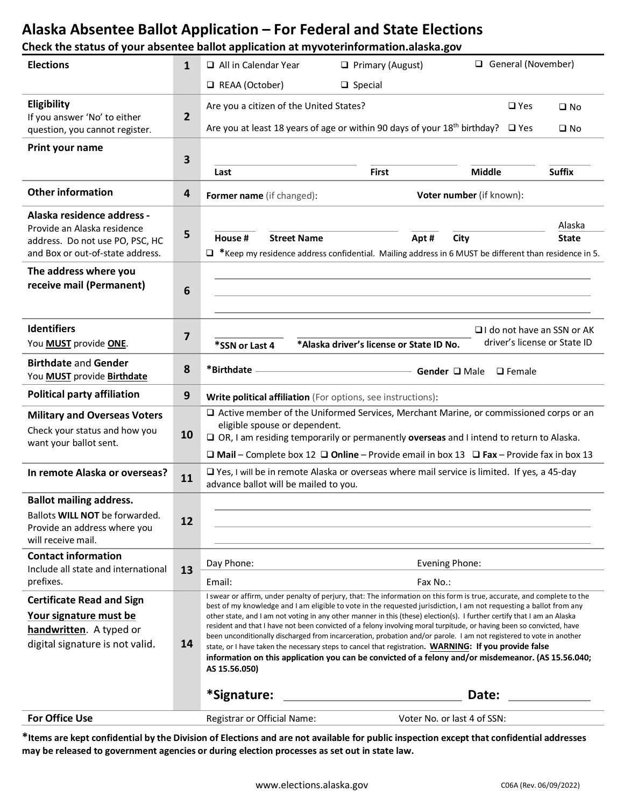### **Alaska Absentee Ballot Application – For Federal and State Elections**

#### **Check the status of your absentee ballot application at myvoterinformation.alaska.gov**

| <b>Elections</b>                                                                                                                 | 1            | General (November)<br>$\Box$ All in Calendar Year<br>$\Box$ Primary (August)                                                                                                                                                                                                                                                                                                                                                                                                                                                                                                                                                                                                                                                                                                                                                                             |                             |                                |                              |
|----------------------------------------------------------------------------------------------------------------------------------|--------------|----------------------------------------------------------------------------------------------------------------------------------------------------------------------------------------------------------------------------------------------------------------------------------------------------------------------------------------------------------------------------------------------------------------------------------------------------------------------------------------------------------------------------------------------------------------------------------------------------------------------------------------------------------------------------------------------------------------------------------------------------------------------------------------------------------------------------------------------------------|-----------------------------|--------------------------------|------------------------------|
|                                                                                                                                  |              | REAA (October)                                                                                                                                                                                                                                                                                                                                                                                                                                                                                                                                                                                                                                                                                                                                                                                                                                           | $\Box$ Special              |                                |                              |
| Eligibility<br>If you answer 'No' to either<br>question, you cannot register.                                                    | $\mathbf{2}$ | Are you a citizen of the United States?<br>Are you at least 18 years of age or within 90 days of your 18 <sup>th</sup> birthday?                                                                                                                                                                                                                                                                                                                                                                                                                                                                                                                                                                                                                                                                                                                         |                             | $\square$ Yes<br>$\square$ Yes | $\square$ No<br>$\square$ No |
| Print your name                                                                                                                  | 3            | Last                                                                                                                                                                                                                                                                                                                                                                                                                                                                                                                                                                                                                                                                                                                                                                                                                                                     | <b>First</b>                | <b>Middle</b>                  | <b>Suffix</b>                |
| <b>Other information</b>                                                                                                         | 4            | Voter number (if known):<br>Former name (if changed):                                                                                                                                                                                                                                                                                                                                                                                                                                                                                                                                                                                                                                                                                                                                                                                                    |                             |                                |                              |
| Alaska residence address -<br>Provide an Alaska residence<br>address. Do not use PO, PSC, HC<br>and Box or out-of-state address. | 5            | House #<br><b>Street Name</b><br>$\Box$ *Keep my residence address confidential. Mailing address in 6 MUST be different than residence in 5.                                                                                                                                                                                                                                                                                                                                                                                                                                                                                                                                                                                                                                                                                                             | Apt#                        | City                           | Alaska<br><b>State</b>       |
| The address where you<br>receive mail (Permanent)                                                                                | 6            |                                                                                                                                                                                                                                                                                                                                                                                                                                                                                                                                                                                                                                                                                                                                                                                                                                                          |                             |                                |                              |
| <b>Identifiers</b><br>You MUST provide ONE.                                                                                      | 7            | $\Box$ I do not have an SSN or AK<br>driver's license or State ID<br>*Alaska driver's license or State ID No.<br>*SSN or Last 4                                                                                                                                                                                                                                                                                                                                                                                                                                                                                                                                                                                                                                                                                                                          |                             |                                |                              |
| <b>Birthdate and Gender</b><br>You <b>MUST</b> provide <b>Birthdate</b>                                                          | 8            | *Birthdate<br>Gender Q Male<br>$\Box$ Female                                                                                                                                                                                                                                                                                                                                                                                                                                                                                                                                                                                                                                                                                                                                                                                                             |                             |                                |                              |
| <b>Political party affiliation</b>                                                                                               | 9            | Write political affiliation (For options, see instructions):                                                                                                                                                                                                                                                                                                                                                                                                                                                                                                                                                                                                                                                                                                                                                                                             |                             |                                |                              |
| <b>Military and Overseas Voters</b><br>Check your status and how you<br>want your ballot sent.                                   | 10           | □ Active member of the Uniformed Services, Merchant Marine, or commissioned corps or an<br>eligible spouse or dependent.<br>$\square$ OR, I am residing temporarily or permanently overseas and I intend to return to Alaska.<br>$\Box$ Mail – Complete box 12 $\Box$ Online – Provide email in box 13 $\Box$ Fax – Provide fax in box 13                                                                                                                                                                                                                                                                                                                                                                                                                                                                                                                |                             |                                |                              |
| In remote Alaska or overseas?                                                                                                    | 11           | □ Yes, I will be in remote Alaska or overseas where mail service is limited. If yes, a 45-day<br>advance ballot will be mailed to you.                                                                                                                                                                                                                                                                                                                                                                                                                                                                                                                                                                                                                                                                                                                   |                             |                                |                              |
| <b>Ballot mailing address.</b><br>Ballots WILL NOT be forwarded.<br>Provide an address where you<br>will receive mail.           | 12           |                                                                                                                                                                                                                                                                                                                                                                                                                                                                                                                                                                                                                                                                                                                                                                                                                                                          |                             |                                |                              |
| <b>Contact information</b><br>Include all state and international<br>prefixes.                                                   | 13           | Day Phone:<br>Email:                                                                                                                                                                                                                                                                                                                                                                                                                                                                                                                                                                                                                                                                                                                                                                                                                                     | Evening Phone:<br>Fax No.:  |                                |                              |
| <b>Certificate Read and Sign</b><br>Your signature must be<br>handwritten. A typed or<br>digital signature is not valid.         | 14           | I swear or affirm, under penalty of perjury, that: The information on this form is true, accurate, and complete to the<br>best of my knowledge and I am eligible to vote in the requested jurisdiction, I am not requesting a ballot from any<br>other state, and I am not voting in any other manner in this (these) election(s). I further certify that I am an Alaska<br>resident and that I have not been convicted of a felony involving moral turpitude, or having been so convicted, have<br>been unconditionally discharged from incarceration, probation and/or parole. I am not registered to vote in another<br>state, or I have taken the necessary steps to cancel that registration. WARNING: If you provide false<br>information on this application you can be convicted of a felony and/or misdemeanor. (AS 15.56.040;<br>AS 15.56.050) |                             |                                |                              |
|                                                                                                                                  |              | *Signature:                                                                                                                                                                                                                                                                                                                                                                                                                                                                                                                                                                                                                                                                                                                                                                                                                                              |                             | Date:                          |                              |
| <b>For Office Use</b>                                                                                                            |              | Registrar or Official Name:                                                                                                                                                                                                                                                                                                                                                                                                                                                                                                                                                                                                                                                                                                                                                                                                                              | Voter No. or last 4 of SSN: |                                |                              |

**\*Items are kept confidential by the Division of Elections and are not available for public inspection except that confidential addresses may be released to government agencies or during election processes as set out in state law.**